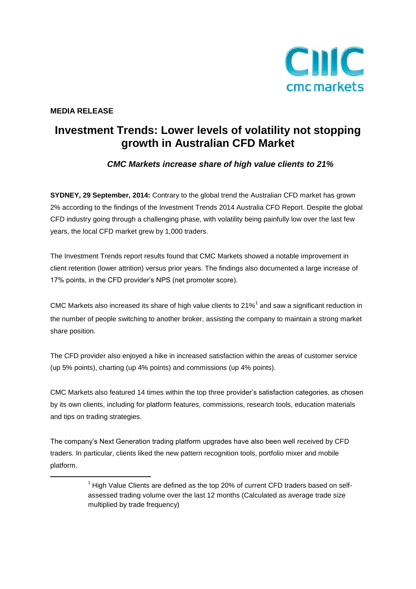

### **MEDIA RELEASE**

**.** 

# **Investment Trends: Lower levels of volatility not stopping growth in Australian CFD Market**

## *CMC Markets increase share of high value clients to 21%*

**SYDNEY, 29 September, 2014:** Contrary to the global trend the Australian CFD market has grown 2% according to the findings of the Investment Trends 2014 Australia CFD Report. Despite the global CFD industry going through a challenging phase, with volatility being painfully low over the last few years, the local CFD market grew by 1,000 traders.

The Investment Trends report results found that CMC Markets showed a notable improvement in client retention (lower attrition) versus prior years. The findings also documented a large increase of 17% points, in the CFD provider's NPS (net promoter score).

CMC Markets also increased its share of high value clients to 21%<sup>1</sup> and saw a significant reduction in the number of people switching to another broker, assisting the company to maintain a strong market share position.

The CFD provider also enjoyed a hike in increased satisfaction within the areas of customer service (up 5% points), charting (up 4% points) and commissions (up 4% points).

CMC Markets also featured 14 times within the top three provider's satisfaction categories, as chosen by its own clients, including for platform features, commissions, research tools, education materials and tips on trading strategies.

The company's Next Generation trading platform upgrades have also been well received by CFD traders. In particular, clients liked the new pattern recognition tools, portfolio mixer and mobile platform.

 $1$  High Value Clients are defined as the top 20% of current CFD traders based on selfassessed trading volume over the last 12 months (Calculated as average trade size multiplied by trade frequency)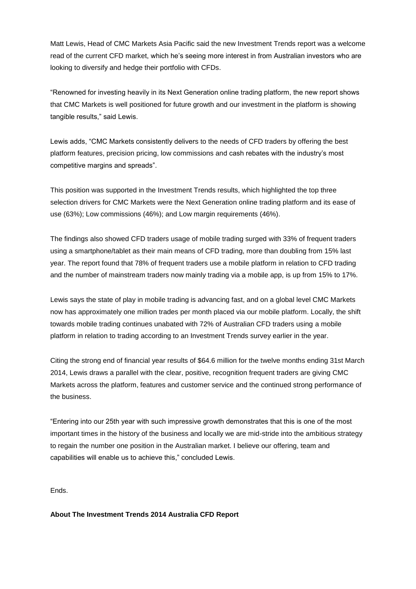Matt Lewis, Head of CMC Markets Asia Pacific said the new Investment Trends report was a welcome read of the current CFD market, which he's seeing more interest in from Australian investors who are looking to diversify and hedge their portfolio with CFDs.

"Renowned for investing heavily in its Next Generation online trading platform, the new report shows that CMC Markets is well positioned for future growth and our investment in the platform is showing tangible results," said Lewis.

Lewis adds, "CMC Markets consistently delivers to the needs of CFD traders by offering the best platform features, precision pricing, low commissions and cash rebates with the industry's most competitive margins and spreads".

This position was supported in the Investment Trends results, which highlighted the top three selection drivers for CMC Markets were the Next Generation online trading platform and its ease of use (63%); Low commissions (46%); and Low margin requirements (46%).

The findings also showed CFD traders usage of mobile trading surged with 33% of frequent traders using a smartphone/tablet as their main means of CFD trading, more than doubling from 15% last year. The report found that 78% of frequent traders use a mobile platform in relation to CFD trading and the number of mainstream traders now mainly trading via a mobile app, is up from 15% to 17%.

Lewis says the state of play in mobile trading is advancing fast, and on a global level CMC Markets now has approximately one million trades per month placed via our mobile platform. Locally, the shift towards mobile trading continues unabated with 72% of Australian CFD traders using a mobile platform in relation to trading according to an Investment Trends survey earlier in the year.

Citing the strong end of financial year results of \$64.6 million for the twelve months ending 31st March 2014, Lewis draws a parallel with the clear, positive, recognition frequent traders are giving CMC Markets across the platform, features and customer service and the continued strong performance of the business.

"Entering into our 25th year with such impressive growth demonstrates that this is one of the most important times in the history of the business and locally we are mid-stride into the ambitious strategy to regain the number one position in the Australian market. I believe our offering, team and capabilities will enable us to achieve this," concluded Lewis.

Ends.

**About The Investment Trends 2014 Australia CFD Report**